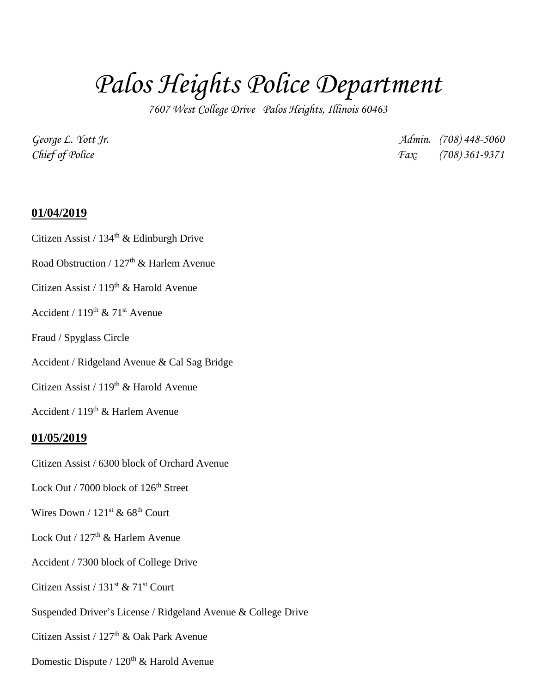## *Palos Heights Police Department*

*7607 West College Drive Palos Heights, Illinois 60463*

*George L. Yott Jr. Admin. (708) 448-5060 Chief of Police Fax: (708) 361-9371*

## **01/04/2019**

Citizen Assist /  $134<sup>th</sup>$  & Edinburgh Drive

Road Obstruction /  $127<sup>th</sup>$  & Harlem Avenue

Citizen Assist / 119<sup>th</sup> & Harold Avenue

Accident /  $119^{th}$  &  $71^{st}$  Avenue

Fraud / Spyglass Circle

Accident / Ridgeland Avenue & Cal Sag Bridge

Citizen Assist /  $119<sup>th</sup>$  & Harold Avenue

Accident /  $119<sup>th</sup>$  & Harlem Avenue

## **01/05/2019**

Citizen Assist / 6300 block of Orchard Avenue

Lock Out / 7000 block of 126<sup>th</sup> Street

Wires Down /  $121<sup>st</sup>$  & 68<sup>th</sup> Court

Lock Out /  $127<sup>th</sup>$  & Harlem Avenue

Accident / 7300 block of College Drive

Citizen Assist /  $131<sup>st</sup>$  &  $71<sup>st</sup>$  Court

Suspended Driver's License / Ridgeland Avenue & College Drive

Citizen Assist /  $127<sup>th</sup>$  & Oak Park Avenue

Domestic Dispute /  $120<sup>th</sup>$  & Harold Avenue